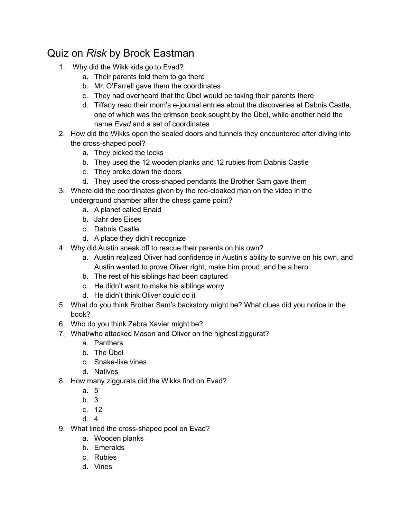## Quiz on *Risk* by Brock Eastman

- 1. Why did the Wikk kids go to Evad?
	- a. Their parents told them to go there
	- b. Mr. O'Farrell gave them the coordinates
	- c. They had overheard that the Übel would be taking their parents there
	- d. Tiffany read their mom's e-journal entries about the discoveries at Dabnis Castle, one of which was the crimson book sought by the Übel, while another held the name *Evad* and a set of coordinates
- 2. How did the Wikks open the sealed doors and tunnels they encountered after diving into the cross-shaped pool?
	- a. They picked the locks
	- b. They used the 12 wooden planks and 12 rubies from Dabnis Castle
	- c. They broke down the doors
	- d. They used the cross-shaped pendants the Brother Sam gave them
- 3. Where did the coordinates given by the red-cloaked man on the video in the underground chamber after the chess game point?
	- a. A planet called Enaid
	- b. Jahr des Eises
	- c. Dabnis Castle
	- d. A place they didn't recognize
- 4. Why did Austin sneak off to rescue their parents on his own?
	- a. Austin realized Oliver had confidence in Austin's ability to survive on his own, and Austin wanted to prove Oliver right, make him proud, and be a hero
	- b. The rest of his siblings had been captured
	- c. He didn't want to make his siblings worry
	- d. He didn't think Oliver could do it
- 5. What do you think Brother Sam's backstory might be? What clues did you notice in the book?
- 6. Who do you think Zebra Xavier might be?
- 7. What/who attacked Mason and Oliver on the highest ziggurat?
	- a. Panthers
	- b. The Übel
	- c. Snake-like vines
	- d. Natives
- 8. How many ziggurats did the Wikks find on Evad?
	- a. 5
	- b. 3
	- c. 12
	- d. 4
- 9. What lined the cross-shaped pool on Evad?
	- a. Wooden planks
	- b. Emeralds
	- c. Rubies
	- d. Vines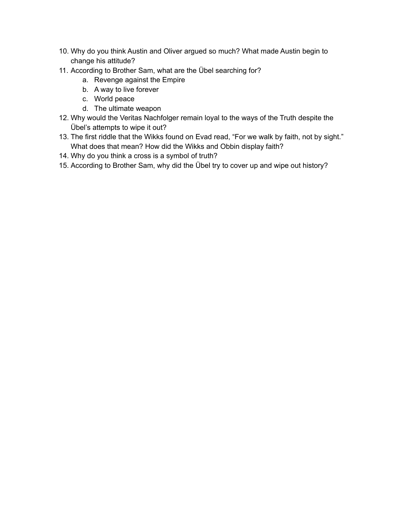- 10. Why do you think Austin and Oliver argued so much? What made Austin begin to change his attitude?
- 11. According to Brother Sam, what are the Übel searching for?
	- a. Revenge against the Empire
	- b. A way to live forever
	- c. World peace
	- d. The ultimate weapon
- 12. Why would the Veritas Nachfolger remain loyal to the ways of the Truth despite the Übel's attempts to wipe it out?
- 13. The first riddle that the Wikks found on Evad read, "For we walk by faith, not by sight." What does that mean? How did the Wikks and Obbin display faith?
- 14. Why do you think a cross is a symbol of truth?
- 15. According to Brother Sam, why did the Übel try to cover up and wipe out history?